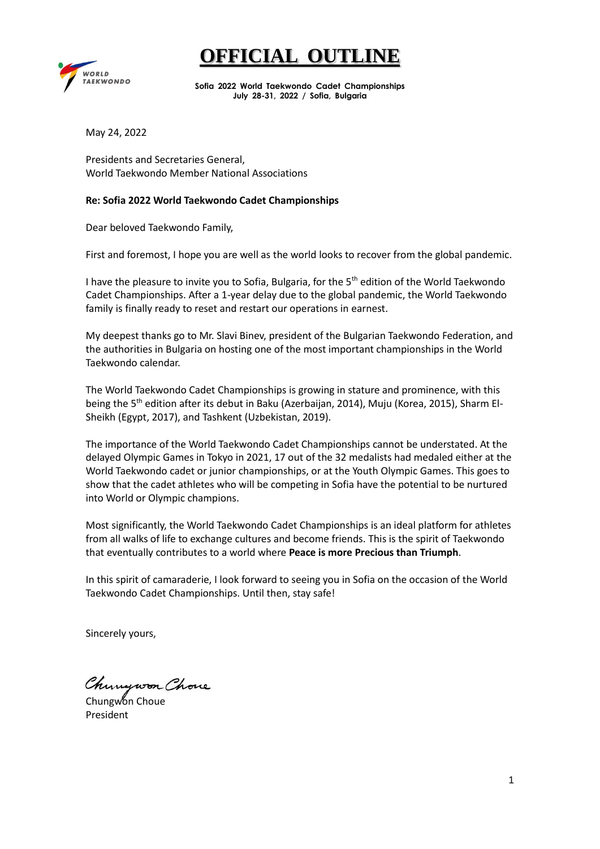### **FFICIAL OUTLI**



**Sofia 2022 World Taekwondo Cadet Championships July 28-31, 2022 / Sofia, Bulgaria**

May 24, 2022

Presidents and Secretaries General, World Taekwondo Member National Associations

#### **Re: Sofia 2022 World Taekwondo Cadet Championships**

Dear beloved Taekwondo Family,

First and foremost, I hope you are well as the world looks to recover from the global pandemic.

I have the pleasure to invite you to Sofia, Bulgaria, for the 5<sup>th</sup> edition of the World Taekwondo Cadet Championships. After a 1-year delay due to the global pandemic, the World Taekwondo family is finally ready to reset and restart our operations in earnest.

My deepest thanks go to Mr. Slavi Binev, president of the Bulgarian Taekwondo Federation, and the authorities in Bulgaria on hosting one of the most important championships in the World Taekwondo calendar.

The World Taekwondo Cadet Championships is growing in stature and prominence, with this being the 5<sup>th</sup> edition after its debut in Baku (Azerbaijan, 2014), Muju (Korea, 2015), Sharm El-Sheikh (Egypt, 2017), and Tashkent (Uzbekistan, 2019).

The importance of the World Taekwondo Cadet Championships cannot be understated. At the delayed Olympic Games in Tokyo in 2021, 17 out of the 32 medalists had medaled either at the World Taekwondo cadet or junior championships, or at the Youth Olympic Games. This goes to show that the cadet athletes who will be competing in Sofia have the potential to be nurtured into World or Olympic champions.

Most significantly, the World Taekwondo Cadet Championships is an ideal platform for athletes from all walks of life to exchange cultures and become friends. This is the spirit of Taekwondo that eventually contributes to a world where **Peace is more Precious than Triumph**.

In this spirit of camaraderie, I look forward to seeing you in Sofia on the occasion of the World Taekwondo Cadet Championships. Until then, stay safe!

Sincerely yours,

Chungwon Chove

Chungwon Choue President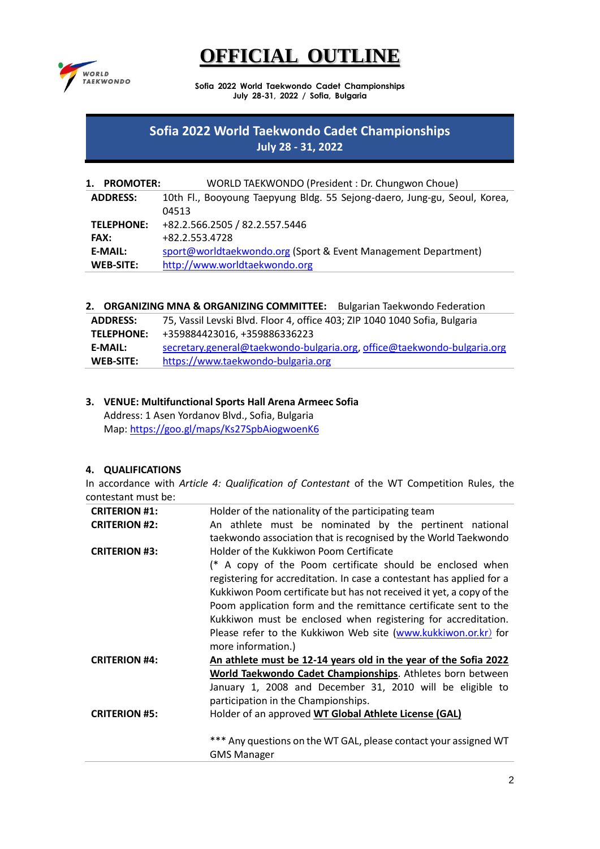

**Sofia 2022 World Taekwondo Cadet Championships July 28-31, 2022 / Sofia, Bulgaria**

### **Sofia 2022 World Taekwondo Cadet Championships July 28 - 31, 2022**

| 1.<br><b>PROMOTER:</b> | WORLD TAEKWONDO (President: Dr. Chungwon Choue)                           |
|------------------------|---------------------------------------------------------------------------|
| <b>ADDRESS:</b>        | 10th Fl., Booyoung Taepyung Bldg. 55 Sejong-daero, Jung-gu, Seoul, Korea, |
|                        | 04513                                                                     |
| <b>TELEPHONE:</b>      | +82.2.566.2505 / 82.2.557.5446                                            |
| <b>FAX:</b>            | +82.2.553.4728                                                            |
| E-MAIL:                | sport@worldtaekwondo.org (Sport & Event Management Department)            |
| <b>WEB-SITE:</b>       | http://www.worldtaekwondo.org                                             |

**2. ORGANIZING MNA & ORGANIZING COMMITTEE:** Bulgarian Taekwondo Federation

| <b>ADDRESS:</b>   | 75, Vassil Levski Blvd. Floor 4, office 403; ZIP 1040 1040 Sofia, Bulgaria |
|-------------------|----------------------------------------------------------------------------|
| <b>TELEPHONE:</b> | +359884423016, +359886336223                                               |
| <b>E-MAIL:</b>    | secretary.general@taekwondo-bulgaria.org, office@taekwondo-bulgaria.org    |
| <b>WEB-SITE:</b>  | https://www.taekwondo-bulgaria.org                                         |

#### **3. VENUE: Multifunctional Sports Hall Arena Armeec Sofia**  Address: 1 Asen Yordanov Blvd., Sofia, Bulgaria

Map:<https://goo.gl/maps/Ks27SpbAiogwoenK6>

### **4. QUALIFICATIONS**

In accordance with *Article 4: Qualification of Contestant* of the WT Competition Rules, the contestant must be:

| <b>CRITERION #1:</b> | Holder of the nationality of the participating team                   |  |  |  |
|----------------------|-----------------------------------------------------------------------|--|--|--|
| <b>CRITERION #2:</b> | An athlete must be nominated by the pertinent national                |  |  |  |
|                      | taekwondo association that is recognised by the World Taekwondo       |  |  |  |
| <b>CRITERION #3:</b> | Holder of the Kukkiwon Poom Certificate                               |  |  |  |
|                      | (* A copy of the Poom certificate should be enclosed when             |  |  |  |
|                      | registering for accreditation. In case a contestant has applied for a |  |  |  |
|                      | Kukkiwon Poom certificate but has not received it yet, a copy of the  |  |  |  |
|                      | Poom application form and the remittance certificate sent to the      |  |  |  |
|                      | Kukkiwon must be enclosed when registering for accreditation.         |  |  |  |
|                      | Please refer to the Kukkiwon Web site (www.kukkiwon.or.kr) for        |  |  |  |
|                      | more information.)                                                    |  |  |  |
| <b>CRITERION #4:</b> | An athlete must be 12-14 years old in the year of the Sofia 2022      |  |  |  |
|                      | World Taekwondo Cadet Championships. Athletes born between            |  |  |  |
|                      | January 1, 2008 and December 31, 2010 will be eligible to             |  |  |  |
|                      | participation in the Championships.                                   |  |  |  |
| <b>CRITERION #5:</b> | Holder of an approved WT Global Athlete License (GAL)                 |  |  |  |
|                      |                                                                       |  |  |  |
|                      | *** Any questions on the WT GAL, please contact your assigned WT      |  |  |  |
|                      | <b>GMS Manager</b>                                                    |  |  |  |
|                      |                                                                       |  |  |  |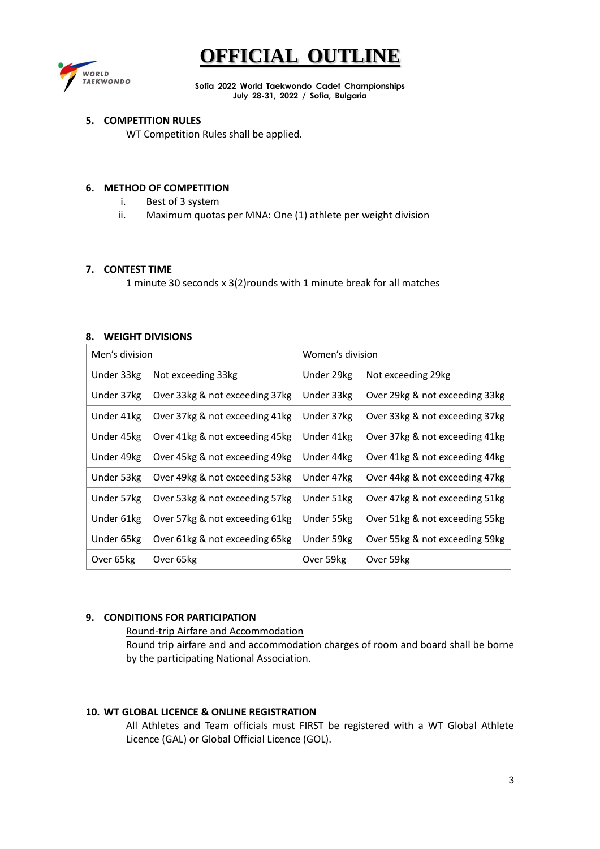

**Sofia 2022 World Taekwondo Cadet Championships July 28-31, 2022 / Sofia, Bulgaria**

#### **5. COMPETITION RULES**

WT Competition Rules shall be applied.

#### **6. METHOD OF COMPETITION**

- i. Best of 3 system
- ii. Maximum quotas per MNA: One (1) athlete per weight division

#### **7. CONTEST TIME**

1 minute 30 seconds x 3(2)rounds with 1 minute break for all matches

#### **8. WEIGHT DIVISIONS**

| Men's division |                                | Women's division |                                |
|----------------|--------------------------------|------------------|--------------------------------|
| Under 33kg     | Not exceeding 33kg             | Under 29kg       | Not exceeding 29kg             |
| Under 37kg     | Over 33kg & not exceeding 37kg | Under 33kg       | Over 29kg & not exceeding 33kg |
| Under 41kg     | Over 37kg & not exceeding 41kg | Under 37kg       | Over 33kg & not exceeding 37kg |
| Under 45kg     | Over 41kg & not exceeding 45kg | Under 41kg       | Over 37kg & not exceeding 41kg |
| Under 49kg     | Over 45kg & not exceeding 49kg | Under 44kg       | Over 41kg & not exceeding 44kg |
| Under 53kg     | Over 49kg & not exceeding 53kg | Under 47kg       | Over 44kg & not exceeding 47kg |
| Under 57kg     | Over 53kg & not exceeding 57kg | Under 51kg       | Over 47kg & not exceeding 51kg |
| Under 61kg     | Over 57kg & not exceeding 61kg | Under 55kg       | Over 51kg & not exceeding 55kg |
| Under 65kg     | Over 61kg & not exceeding 65kg | Under 59kg       | Over 55kg & not exceeding 59kg |
| Over 65kg      | Over 65kg                      | Over 59kg        | Over 59kg                      |

#### **9. CONDITIONS FOR PARTICIPATION**

Round-trip Airfare and Accommodation Round trip airfare and and accommodation charges of room and board shall be borne by the participating National Association.

#### **10. WT GLOBAL LICENCE & ONLINE REGISTRATION**

All Athletes and Team officials must FIRST be registered with a WT Global Athlete Licence (GAL) or Global Official Licence (GOL).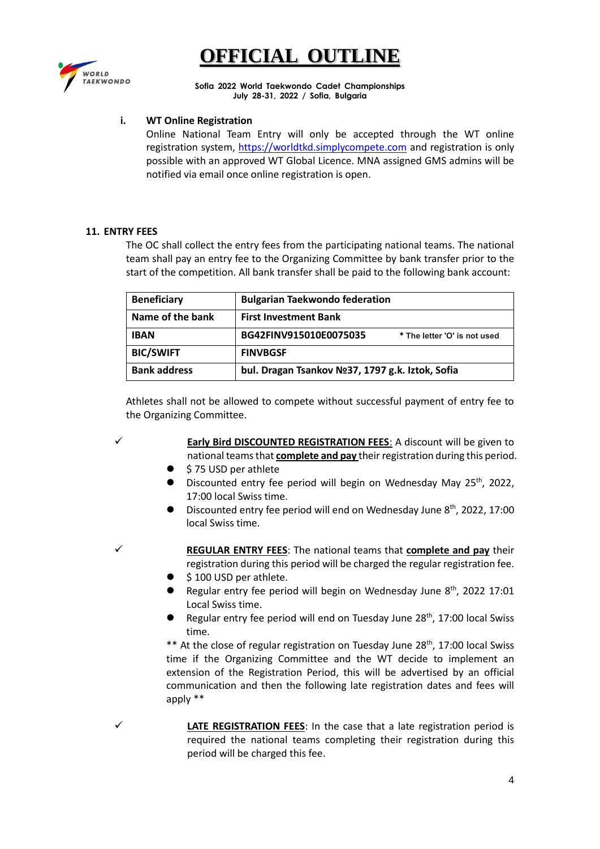

**FFICIAL OUTLI** 

**Sofia 2022 World Taekwondo Cadet Championships July 28-31, 2022 / Sofia, Bulgaria**

#### **i. WT Online Registration**

Online National Team Entry will only be accepted through the WT online registration system, [https://worldtkd.simplycompete.com](https://worldtkd.simplycompete.com/) and registration is only possible with an approved WT Global Licence. MNA assigned GMS admins will be notified via email once online registration is open.

#### **11. ENTRY FEES**

The OC shall collect the entry fees from the participating national teams. The national team shall pay an entry fee to the Organizing Committee by bank transfer prior to the start of the competition. All bank transfer shall be paid to the following bank account:

| <b>Beneficiary</b>  | <b>Bulgarian Taekwondo federation</b>                  |  |
|---------------------|--------------------------------------------------------|--|
| Name of the bank    | <b>First Investment Bank</b>                           |  |
| <b>IBAN</b>         | BG42FINV915010E0075035<br>* The letter 'O' is not used |  |
| <b>BIC/SWIFT</b>    | <b>FINVBGSF</b>                                        |  |
| <b>Bank address</b> | bul. Dragan Tsankov Nº37, 1797 g.k. Iztok, Sofia       |  |

Athletes shall not be allowed to compete without successful payment of entry fee to the Organizing Committee.

✓ **Early Bird DISCOUNTED REGISTRATION FEES**: A discount will be given to national teams that **complete and pay** their registration during this period.

- ⚫ \$ 75 USD per athlete
- Discounted entry fee period will begin on Wednesday May 25<sup>th</sup>, 2022, 17:00 local Swiss time.
- Discounted entry fee period will end on Wednesday June 8<sup>th</sup>, 2022, 17:00 local Swiss time.

✓ **REGULAR ENTRY FEES**: The national teams that **complete and pay** their registration during this period will be charged the regular registration fee.

- \$100 USD per athlete.
- Regular entry fee period will begin on Wednesday June  $8^{th}$ , 2022 17:01 Local Swiss time.
- **•** Regular entry fee period will end on Tuesday June  $28<sup>th</sup>$ , 17:00 local Swiss time.

\*\* At the close of regular registration on Tuesday June 28<sup>th</sup>, 17:00 local Swiss time if the Organizing Committee and the WT decide to implement an extension of the Registration Period, this will be advertised by an official communication and then the following late registration dates and fees will apply \*\*

✓ **LATE REGISTRATION FEES**: In the case that a late registration period is required the national teams completing their registration during this period will be charged this fee.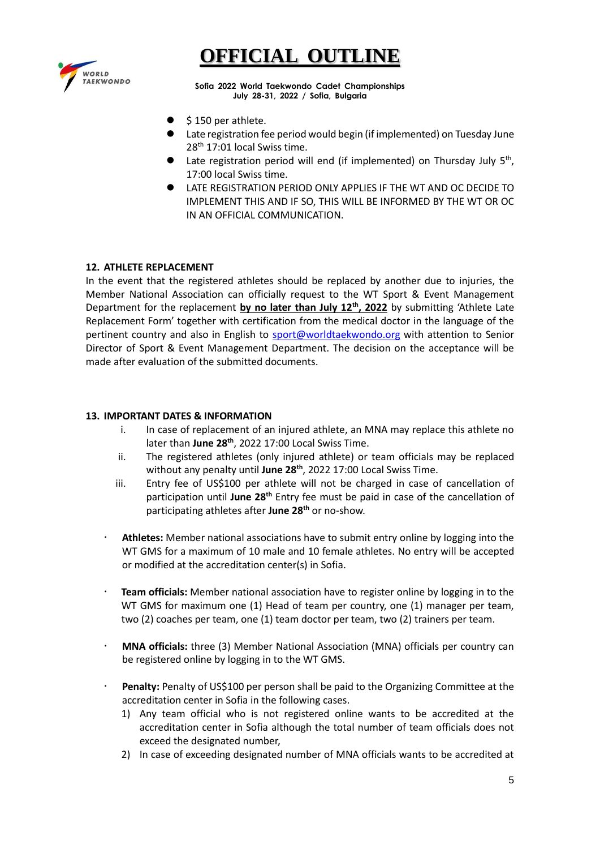

**Sofia 2022 World Taekwondo Cadet Championships July 28-31, 2022 / Sofia, Bulgaria**

- \$150 per athlete.
- Late registration fee period would begin (if implemented) on Tuesday June 28<sup>th</sup> 17:01 local Swiss time.
- Late registration period will end (if implemented) on Thursday July 5<sup>th</sup>, 17:00 local Swiss time.
- ⚫ LATE REGISTRATION PERIOD ONLY APPLIES IF THE WT AND OC DECIDE TO IMPLEMENT THIS AND IF SO, THIS WILL BE INFORMED BY THE WT OR OC IN AN OFFICIAL COMMUNICATION.

#### **12. ATHLETE REPLACEMENT**

In the event that the registered athletes should be replaced by another due to injuries, the Member National Association can officially request to the WT Sport & Event Management Department for the replacement **by no later than July 12th, 2022** by submitting 'Athlete Late Replacement Form' together with certification from the medical doctor in the language of the pertinent country and also in English to [sport@worldtaekwondo.org](mailto:sport@worldtaekwondo.org) with attention to Senior Director of Sport & Event Management Department. The decision on the acceptance will be made after evaluation of the submitted documents.

#### **13. IMPORTANT DATES & INFORMATION**

- i. In case of replacement of an injured athlete, an MNA may replace this athlete no later than **June 28th** , 2022 17:00 Local Swiss Time.
- ii. The registered athletes (only injured athlete) or team officials may be replaced without any penalty until **June 28th** , 2022 17:00 Local Swiss Time.
- iii. Entry fee of US\$100 per athlete will not be charged in case of cancellation of participation until **June 28th** Entry fee must be paid in case of the cancellation of participating athletes after **June 28th** or no-show.
- **Athletes:** Member national associations have to submit entry online by logging into the WT GMS for a maximum of 10 male and 10 female athletes. No entry will be accepted or modified at the accreditation center(s) in Sofia.
- **Team officials:** Member national association have to register online by logging in to the WT GMS for maximum one (1) Head of team per country, one (1) manager per team, two (2) coaches per team, one (1) team doctor per team, two (2) trainers per team.
- **MNA officials:** three (3) Member National Association (MNA) officials per country can be registered online by logging in to the WT GMS.
- **Penalty:** Penalty of US\$100 per person shall be paid to the Organizing Committee at the accreditation center in Sofia in the following cases.
	- 1) Any team official who is not registered online wants to be accredited at the accreditation center in Sofia although the total number of team officials does not exceed the designated number,
	- 2) In case of exceeding designated number of MNA officials wants to be accredited at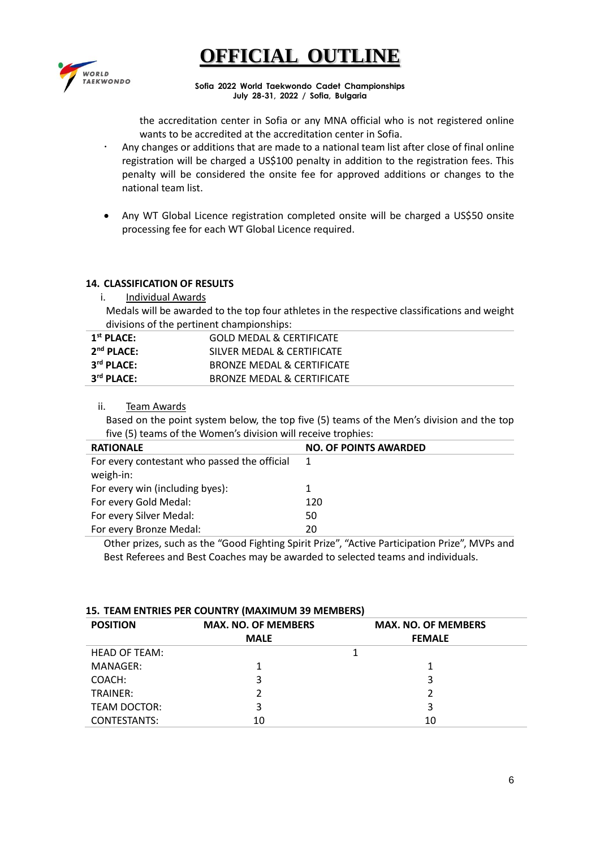

**Sofia 2022 World Taekwondo Cadet Championships July 28-31, 2022 / Sofia, Bulgaria**

the accreditation center in Sofia or any MNA official who is not registered online wants to be accredited at the accreditation center in Sofia.

- Any changes or additions that are made to a national team list after close of final online registration will be charged a US\$100 penalty in addition to the registration fees. This penalty will be considered the onsite fee for approved additions or changes to the national team list.
- Any WT Global Licence registration completed onsite will be charged a US\$50 onsite processing fee for each WT Global Licence required.

#### **14. CLASSIFICATION OF RESULTS**

i. Individual Awards

Medals will be awarded to the top four athletes in the respective classifications and weight divisions of the pertinent championships:

| $1st$ PLACE:           | GOLD MEDAL & CERTIFICATE   |
|------------------------|----------------------------|
| $2nd$ PLACE:           | SILVER MEDAL & CERTIFICATE |
| 3 <sup>rd</sup> PLACE: | BRONZE MEDAL & CERTIFICATE |
| 3 <sup>rd</sup> PLACE: | BRONZE MEDAL & CERTIFICATE |

ii. Team Awards

Based on the point system below, the top five (5) teams of the Men's division and the top five (5) teams of the Women's division will receive trophies:

| <b>RATIONALE</b>                             | <b>NO. OF POINTS AWARDED</b> |
|----------------------------------------------|------------------------------|
| For every contestant who passed the official |                              |
| weigh-in:                                    |                              |
| For every win (including byes):              |                              |
| For every Gold Medal:                        | 120                          |
| For every Silver Medal:                      | 50                           |
| For every Bronze Medal:                      | 20                           |

Other prizes, such as the "Good Fighting Spirit Prize", "Active Participation Prize", MVPs and Best Referees and Best Coaches may be awarded to selected teams and individuals.

#### **15. TEAM ENTRIES PER COUNTRY (MAXIMUM 39 MEMBERS)**

| <b>POSITION</b>      | <b>MAX. NO. OF MEMBERS</b> | <b>MAX. NO. OF MEMBERS</b> |  |
|----------------------|----------------------------|----------------------------|--|
|                      | <b>MALE</b>                | <b>FEMALE</b>              |  |
| <b>HEAD OF TEAM:</b> |                            |                            |  |
| MANAGER:             |                            |                            |  |
| COACH:               | 3                          | 3                          |  |
| TRAINER:             |                            |                            |  |
| <b>TEAM DOCTOR:</b>  | 3                          | 3                          |  |
| <b>CONTESTANTS:</b>  | 10                         | 10                         |  |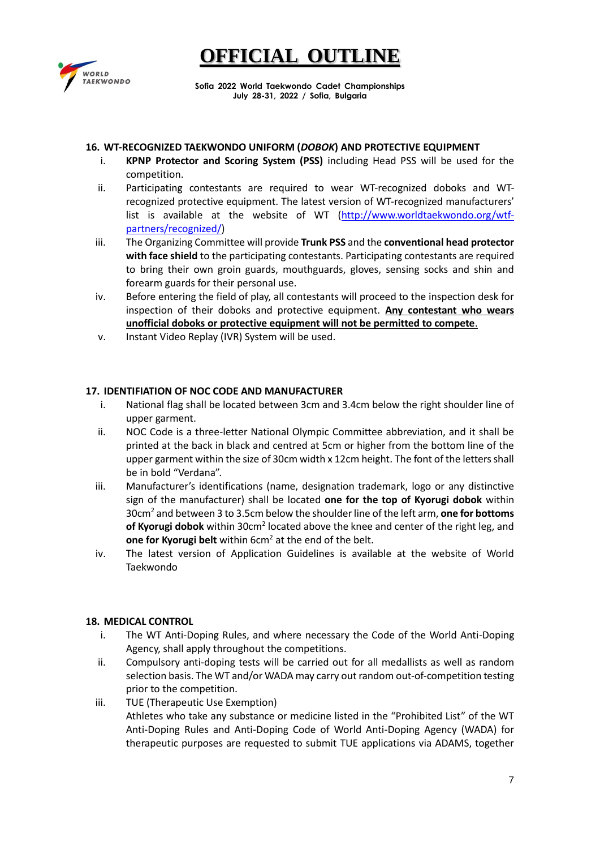

**Sofia 2022 World Taekwondo Cadet Championships July 28-31, 2022 / Sofia, Bulgaria**

#### **16. WT-RECOGNIZED TAEKWONDO UNIFORM (***DOBOK***) AND PROTECTIVE EQUIPMENT**

- i. **KPNP Protector and Scoring System (PSS)** including Head PSS will be used for the competition.
- ii. Participating contestants are required to wear WT-recognized doboks and WTrecognized protective equipment. The latest version of WT-recognized manufacturers' list is available at the website of WT [\(http://www.worldtaekwondo.org/wtf](http://www.worldtaekwondo.org/wtf-partners/recognized/)[partners/recognized/\)](http://www.worldtaekwondo.org/wtf-partners/recognized/)
- iii. The Organizing Committee will provide **Trunk PSS** and the **conventional head protector with face shield** to the participating contestants. Participating contestants are required to bring their own groin guards, mouthguards, gloves, sensing socks and shin and forearm guards for their personal use.
- iv. Before entering the field of play, all contestants will proceed to the inspection desk for inspection of their doboks and protective equipment. **Any contestant who wears unofficial doboks or protective equipment will not be permitted to compete**.
- v. Instant Video Replay (IVR) System will be used.

#### **17. IDENTIFIATION OF NOC CODE AND MANUFACTURER**

- i. National flag shall be located between 3cm and 3.4cm below the right shoulder line of upper garment.
- ii. NOC Code is a three-letter National Olympic Committee abbreviation, and it shall be printed at the back in black and centred at 5cm or higher from the bottom line of the upper garment within the size of 30cm width x 12cm height. The font of the letters shall be in bold "Verdana".
- iii. Manufacturer's identifications (name, designation trademark, logo or any distinctive sign of the manufacturer) shall be located **one for the top of Kyorugi dobok** within 30cm<sup>2</sup> and between 3 to 3.5cm below the shoulder line of the left arm, **one for bottoms**  of Kyorugi dobok within 30cm<sup>2</sup> located above the knee and center of the right leg, and **one for Kyorugi belt** within 6cm<sup>2</sup> at the end of the belt.
- iv. The latest version of Application Guidelines is available at the website of World Taekwondo

#### **18. MEDICAL CONTROL**

- i. The WT Anti-Doping Rules, and where necessary the Code of the World Anti-Doping Agency, shall apply throughout the competitions.
- ii. Compulsory anti-doping tests will be carried out for all medallists as well as random selection basis. The WT and/or WADA may carry out random out-of-competition testing prior to the competition.
- iii. TUE (Therapeutic Use Exemption) Athletes who take any substance or medicine listed in the "Prohibited List" of the WT Anti-Doping Rules and Anti-Doping Code of World Anti-Doping Agency (WADA) for therapeutic purposes are requested to submit TUE applications via ADAMS, together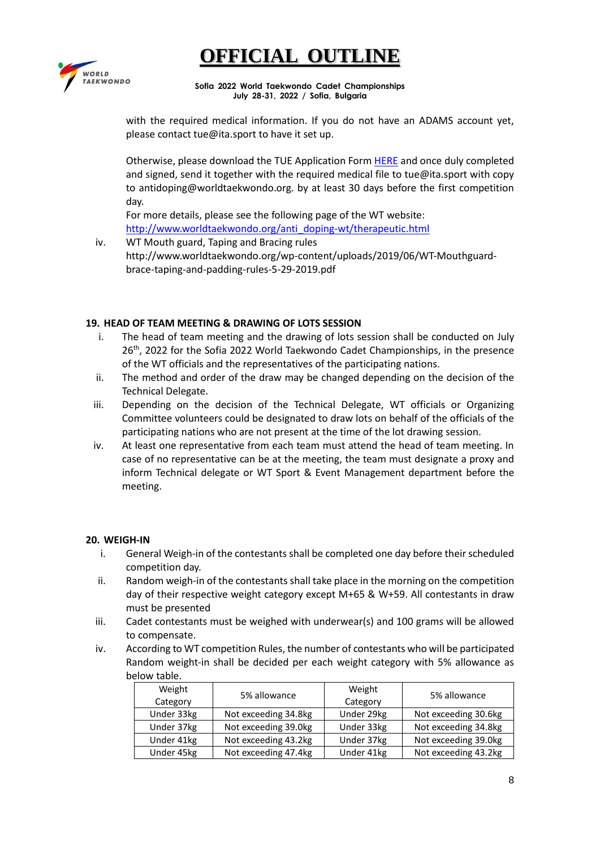

**Sofia 2022 World Taekwondo Cadet Championships July 28-31, 2022 / Sofia, Bulgaria**

with the required medical information. If you do not have an ADAMS account yet, please contact tue@ita.sport to have it set up.

Otherwise, please download the TUE Application For[m HERE](https://ita.sport/uploads/2022/03/2022_tue_application_form.pdf) and once duly completed and signed, send it together with the required medical file to tue@ita.sport with copy to antidoping@worldtaekwondo.org. by at least 30 days before the first competition day.

For more details, please see the following page of the WT website: [http://www.worldtaekwondo.org/anti\\_doping-wt/therapeutic.html](http://www.worldtaekwondo.org/anti_doping-wt/therapeutic.html)

iv. WT Mouth guard, Taping and Bracing rules http://www.worldtaekwondo.org/wp-content/uploads/2019/06/WT-Mouthguardbrace-taping-and-padding-rules-5-29-2019.pdf

#### **19. HEAD OF TEAM MEETING & DRAWING OF LOTS SESSION**

- i. The head of team meeting and the drawing of lots session shall be conducted on July 26<sup>th</sup>, 2022 for the Sofia 2022 World Taekwondo Cadet Championships, in the presence of the WT officials and the representatives of the participating nations.
- ii. The method and order of the draw may be changed depending on the decision of the Technical Delegate.
- iii. Depending on the decision of the Technical Delegate, WT officials or Organizing Committee volunteers could be designated to draw lots on behalf of the officials of the participating nations who are not present at the time of the lot drawing session.
- iv. At least one representative from each team must attend the head of team meeting. In case of no representative can be at the meeting, the team must designate a proxy and inform Technical delegate or WT Sport & Event Management department before the meeting.

#### **20. WEIGH-IN**

- i. General Weigh-in of the contestants shall be completed one day before their scheduled competition day.
- ii. Random weigh-in of the contestants shall take place in the morning on the competition day of their respective weight category except M+65 & W+59. All contestants in draw must be presented
- iii. Cadet contestants must be weighed with underwear(s) and 100 grams will be allowed to compensate.
- iv. According to WT competition Rules, the number of contestants who will be participated Random weight-in shall be decided per each weight category with 5% allowance as below table.

| Weight<br>Category | 5% allowance         | Weight<br>Category | 5% allowance         |
|--------------------|----------------------|--------------------|----------------------|
| Under 33kg         | Not exceeding 34.8kg | Under 29kg         | Not exceeding 30.6kg |
| Under 37kg         | Not exceeding 39.0kg | Under 33kg         | Not exceeding 34.8kg |
| Under 41kg         | Not exceeding 43.2kg | Under 37kg         | Not exceeding 39.0kg |
| Under 45kg         | Not exceeding 47.4kg | Under 41kg         | Not exceeding 43.2kg |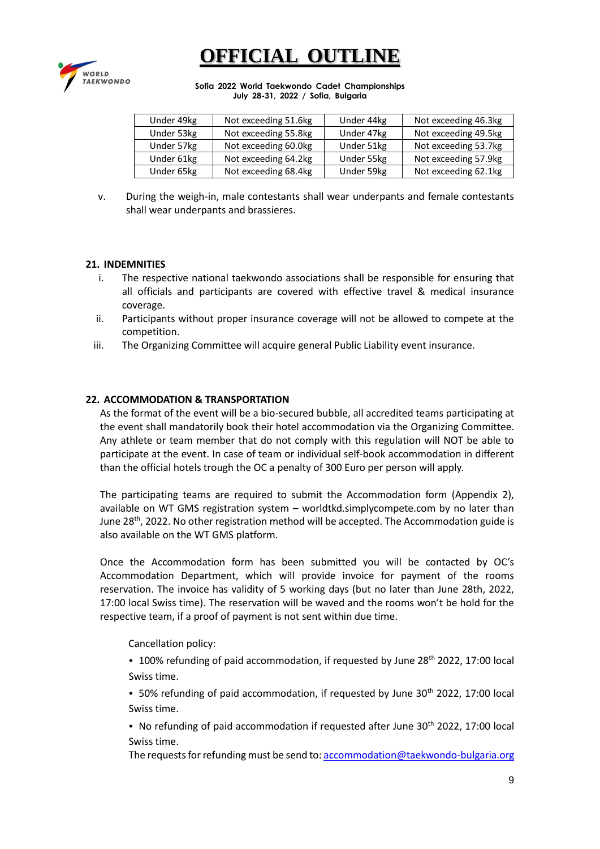

**Sofia 2022 World Taekwondo Cadet Championships July 28-31, 2022 / Sofia, Bulgaria**

| Under 49kg | Not exceeding 51.6kg | Under 44kg | Not exceeding 46.3kg |
|------------|----------------------|------------|----------------------|
| Under 53kg | Not exceeding 55.8kg | Under 47kg | Not exceeding 49.5kg |
| Under 57kg | Not exceeding 60.0kg | Under 51kg | Not exceeding 53.7kg |
| Under 61kg | Not exceeding 64.2kg | Under 55kg | Not exceeding 57.9kg |
| Under 65kg | Not exceeding 68.4kg | Under 59kg | Not exceeding 62.1kg |

v. During the weigh-in, male contestants shall wear underpants and female contestants shall wear underpants and brassieres.

#### **21. INDEMNITIES**

- i. The respective national taekwondo associations shall be responsible for ensuring that all officials and participants are covered with effective travel & medical insurance coverage.
- ii. Participants without proper insurance coverage will not be allowed to compete at the competition.
- iii. The Organizing Committee will acquire general Public Liability event insurance.

#### **22. ACCOMMODATION & TRANSPORTATION**

As the format of the event will be a bio-secured bubble, all accredited teams participating at the event shall mandatorily book their hotel accommodation via the Organizing Committee. Any athlete or team member that do not comply with this regulation will NOT be able to participate at the event. In case of team or individual self-book accommodation in different than the official hotels trough the OC a penalty of 300 Euro per person will apply.

The participating teams are required to submit the Accommodation form (Appendix 2), available on WT GMS registration system – worldtkd.simplycompete.com by no later than June 28<sup>th</sup>, 2022. No other registration method will be accepted. The Accommodation guide is also available on the WT GMS platform.

Once the Accommodation form has been submitted you will be contacted by OC's Accommodation Department, which will provide invoice for payment of the rooms reservation. The invoice has validity of 5 working days (but no later than June 28th, 2022, 17:00 local Swiss time). The reservation will be waved and the rooms won't be hold for the respective team, if a proof of payment is not sent within due time.

Cancellation policy:

• 100% refunding of paid accommodation, if requested by June 28<sup>th</sup> 2022, 17:00 local Swiss time.

• 50% refunding of paid accommodation, if requested by June  $30<sup>th</sup>$  2022, 17:00 local Swiss time.

• No refunding of paid accommodation if requested after June  $30<sup>th</sup>$  2022, 17:00 local Swiss time.

The requests for refunding must be send to[: accommodation@taekwondo-bulgaria.org](mailto:accommodation@taekwondo-bulgaria.org)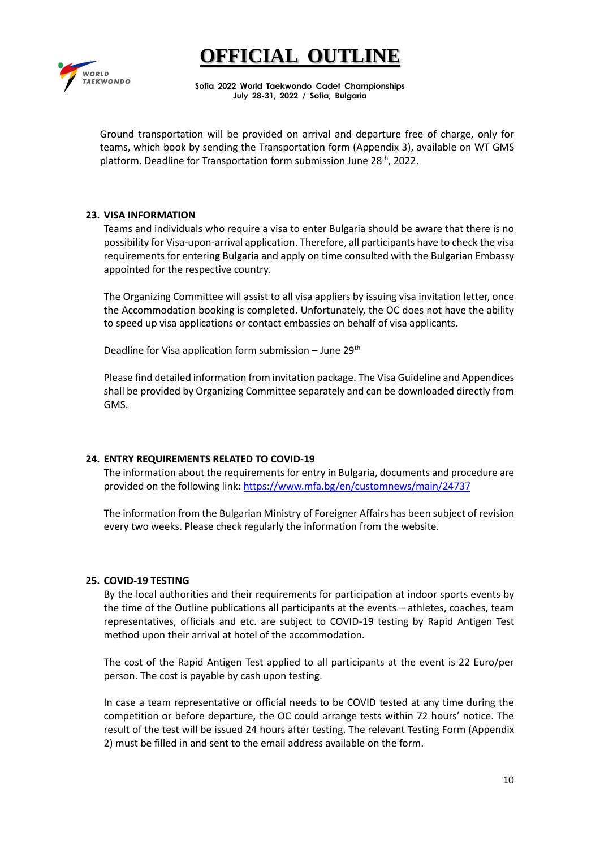### **IFFICIAL OUTLI**



**Sofia 2022 World Taekwondo Cadet Championships July 28-31, 2022 / Sofia, Bulgaria**

Ground transportation will be provided on arrival and departure free of charge, only for teams, which book by sending the Transportation form (Appendix 3), available on WT GMS platform. Deadline for Transportation form submission June 28<sup>th</sup>, 2022.

#### **23. VISA INFORMATION**

Teams and individuals who require a visa to enter Bulgaria should be aware that there is no possibility for Visa-upon-arrival application. Therefore, all participants have to check the visa requirements for entering Bulgaria and apply on time consulted with the Bulgarian Embassy appointed for the respective country.

The Organizing Committee will assist to all visa appliers by issuing visa invitation letter, once the Accommodation booking is completed. Unfortunately, the OC does not have the ability to speed up visa applications or contact embassies on behalf of visa applicants.

Deadline for Visa application form submission - June 29<sup>th</sup>

Please find detailed information from invitation package. The Visa Guideline and Appendices shall be provided by Organizing Committee separately and can be downloaded directly from GMS.

#### **24. ENTRY REQUIREMENTS RELATED TO COVID-19**

The information about the requirements for entry in Bulgaria, documents and procedure are provided on the following link[: https://www.mfa.bg/en/customnews/main/24737](https://www.mfa.bg/en/customnews/main/24737) 

The information from the Bulgarian Ministry of Foreigner Affairs has been subject of revision every two weeks. Please check regularly the information from the website.

#### **25. COVID-19 TESTING**

By the local authorities and their requirements for participation at indoor sports events by the time of the Outline publications all participants at the events – athletes, coaches, team representatives, officials and etc. are subject to COVID-19 testing by Rapid Antigen Test method upon their arrival at hotel of the accommodation.

The cost of the Rapid Antigen Test applied to all participants at the event is 22 Euro/per person. The cost is payable by cash upon testing.

In case a team representative or official needs to be COVID tested at any time during the competition or before departure, the OC could arrange tests within 72 hours' notice. The result of the test will be issued 24 hours after testing. The relevant Testing Form (Appendix 2) must be filled in and sent to the email address available on the form.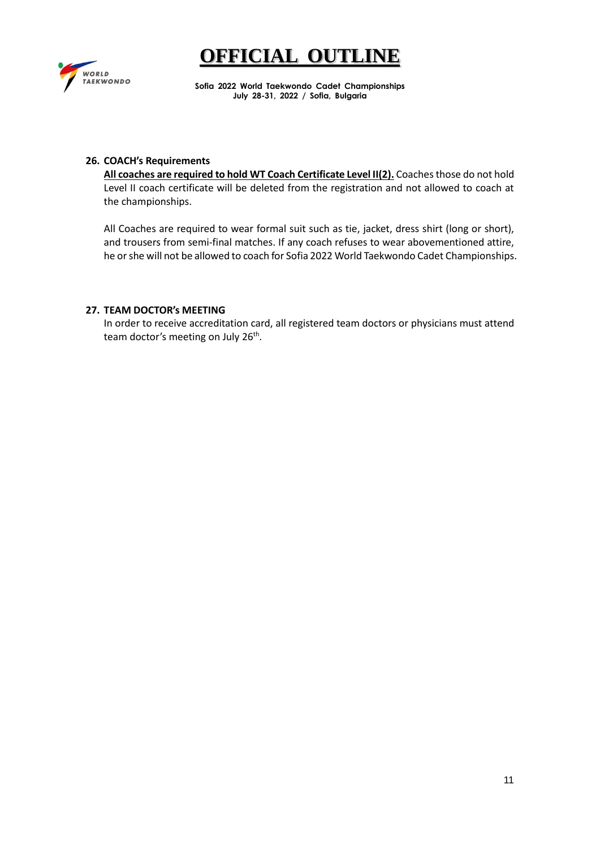

**Sofia 2022 World Taekwondo Cadet Championships July 28-31, 2022 / Sofia, Bulgaria**

#### **26. COACH's Requirements**

**All coaches are required to hold WT Coach Certificate Level II(2).** Coaches those do not hold Level II coach certificate will be deleted from the registration and not allowed to coach at the championships.

All Coaches are required to wear formal suit such as tie, jacket, dress shirt (long or short), and trousers from semi-final matches. If any coach refuses to wear abovementioned attire, he or she will not be allowed to coach for Sofia 2022 World Taekwondo Cadet Championships.

#### **27. TEAM DOCTOR's MEETING**

In order to receive accreditation card, all registered team doctors or physicians must attend team doctor's meeting on July 26<sup>th</sup>.